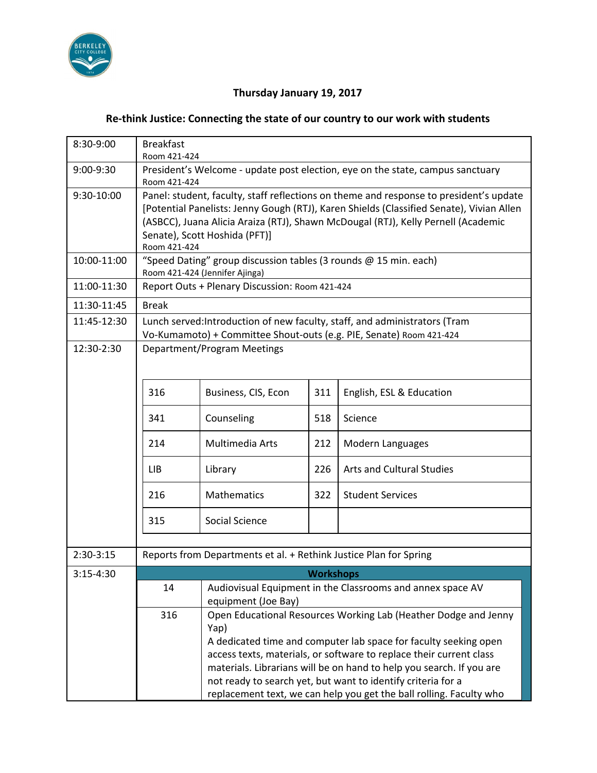

## **Thursday January 19, 2017**

## **Re-think Justice: Connecting the state of our country to our work with students**

| 8:30-9:00   | <b>Breakfast</b><br>Room 421-424                                                                                                                                                                                                                                                                                         |                                                                                                                                                                                                                                                                                                                                                            |     |                                  |  |
|-------------|--------------------------------------------------------------------------------------------------------------------------------------------------------------------------------------------------------------------------------------------------------------------------------------------------------------------------|------------------------------------------------------------------------------------------------------------------------------------------------------------------------------------------------------------------------------------------------------------------------------------------------------------------------------------------------------------|-----|----------------------------------|--|
| 9:00-9:30   | President's Welcome - update post election, eye on the state, campus sanctuary<br>Room 421-424                                                                                                                                                                                                                           |                                                                                                                                                                                                                                                                                                                                                            |     |                                  |  |
| 9:30-10:00  | Panel: student, faculty, staff reflections on theme and response to president's update<br>[Potential Panelists: Jenny Gough (RTJ), Karen Shields (Classified Senate), Vivian Allen<br>(ASBCC), Juana Alicia Araiza (RTJ), Shawn McDougal (RTJ), Kelly Pernell (Academic<br>Senate), Scott Hoshida (PFT)]<br>Room 421-424 |                                                                                                                                                                                                                                                                                                                                                            |     |                                  |  |
| 10:00-11:00 | "Speed Dating" group discussion tables (3 rounds @ 15 min. each)<br>Room 421-424 (Jennifer Ajinga)                                                                                                                                                                                                                       |                                                                                                                                                                                                                                                                                                                                                            |     |                                  |  |
| 11:00-11:30 | Report Outs + Plenary Discussion: Room 421-424                                                                                                                                                                                                                                                                           |                                                                                                                                                                                                                                                                                                                                                            |     |                                  |  |
| 11:30-11:45 | <b>Break</b>                                                                                                                                                                                                                                                                                                             |                                                                                                                                                                                                                                                                                                                                                            |     |                                  |  |
| 11:45-12:30 | Lunch served: Introduction of new faculty, staff, and administrators (Tram<br>Vo-Kumamoto) + Committee Shout-outs (e.g. PIE, Senate) Room 421-424                                                                                                                                                                        |                                                                                                                                                                                                                                                                                                                                                            |     |                                  |  |
| 12:30-2:30  | Department/Program Meetings                                                                                                                                                                                                                                                                                              |                                                                                                                                                                                                                                                                                                                                                            |     |                                  |  |
|             | 316                                                                                                                                                                                                                                                                                                                      | Business, CIS, Econ                                                                                                                                                                                                                                                                                                                                        | 311 | English, ESL & Education         |  |
|             | 341                                                                                                                                                                                                                                                                                                                      | Counseling                                                                                                                                                                                                                                                                                                                                                 | 518 | Science                          |  |
|             | 214                                                                                                                                                                                                                                                                                                                      | Multimedia Arts                                                                                                                                                                                                                                                                                                                                            | 212 | Modern Languages                 |  |
|             | <b>LIB</b>                                                                                                                                                                                                                                                                                                               | Library                                                                                                                                                                                                                                                                                                                                                    | 226 | <b>Arts and Cultural Studies</b> |  |
|             | 216                                                                                                                                                                                                                                                                                                                      | <b>Mathematics</b>                                                                                                                                                                                                                                                                                                                                         | 322 | <b>Student Services</b>          |  |
|             | 315                                                                                                                                                                                                                                                                                                                      | Social Science                                                                                                                                                                                                                                                                                                                                             |     |                                  |  |
| 2:30-3:15   | Reports from Departments et al. + Rethink Justice Plan for Spring                                                                                                                                                                                                                                                        |                                                                                                                                                                                                                                                                                                                                                            |     |                                  |  |
| 3:15-4:30   | <b>Workshops</b>                                                                                                                                                                                                                                                                                                         |                                                                                                                                                                                                                                                                                                                                                            |     |                                  |  |
|             | 14                                                                                                                                                                                                                                                                                                                       | Audiovisual Equipment in the Classrooms and annex space AV<br>equipment (Joe Bay)                                                                                                                                                                                                                                                                          |     |                                  |  |
|             | 316                                                                                                                                                                                                                                                                                                                      | Open Educational Resources Working Lab (Heather Dodge and Jenny<br>Yap)<br>A dedicated time and computer lab space for faculty seeking open<br>access texts, materials, or software to replace their current class<br>materials. Librarians will be on hand to help you search. If you are<br>not ready to search yet, but want to identify criteria for a |     |                                  |  |
|             |                                                                                                                                                                                                                                                                                                                          | replacement text, we can help you get the ball rolling. Faculty who                                                                                                                                                                                                                                                                                        |     |                                  |  |